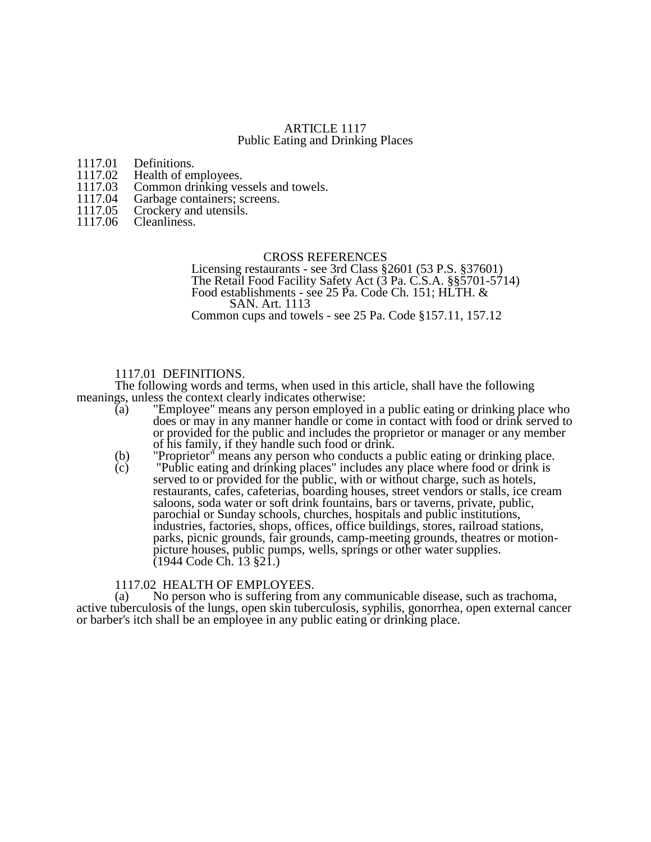#### ARTICLE 1117 Public Eating and Drinking Places

- 1117.01 Definitions.<br>1117.02 Health of en
- 1117.02 Health of employees.<br>1117.03 Common drinking ver
- 1117.03 Common drinking vessels and towels.<br>1117.04 Garbage containers; screens.
- 1117.04 Garbage containers; screens.<br>1117.05 Crockery and utensils.
- 1117.05 Crockery and utensils.<br>1117.06 Cleanliness.
- Cleanliness.

#### CROSS REFERENCES

Licensing restaurants - see 3rd Class §2601 (53 P.S. §37601) The Retail Food Facility Safety Act (3 Pa. C.S.A. §§5701-5714) Food establishments - see 25 Pa. Code Ch. 151; HLTH. & SAN. Art. 1113

Common cups and towels - see 25 Pa. Code §157.11, 157.12

#### 1117.01 DEFINITIONS.

The following words and terms, when used in this article, shall have the following meanings, unless the context clearly indicates otherwise:<br>(a) "Employee" means any person employed if

- "Employee" means any person employed in a public eating or drinking place who does or may in any manner handle or come in contact with food or drink served to or provided for the public and includes the proprietor or manager or any member of his family, if they handle such food or drink.
- (b) "Proprietor" means any person who conducts a public eating or drinking place.<br>(c) "Public eating and drinking places" includes any place where food or drink is
- (c) "Public eating and drinking places" includes any place where food or drink is served to or provided for the public, with or without charge, such as hotels, restaurants, cafes, cafeterias, boarding houses, street vendors or stalls, ice cream saloons, soda water or soft drink fountains, bars or taverns, private, public, parochial or Sunday schools, churches, hospitals and public institutions, industries, factories, shops, offices, office buildings, stores, railroad stations, parks, picnic grounds, fair grounds, camp-meeting grounds, theatres or motionpicture houses, public pumps, wells, springs or other water supplies. (1944 Code Ch. 13 §21.)

#### 1117.02 HEALTH OF EMPLOYEES.

(a) No person who is suffering from any communicable disease, such as trachoma, active tuberculosis of the lungs, open skin tuberculosis, syphilis, gonorrhea, open external cancer or barber's itch shall be an employee in any public eating or drinking place.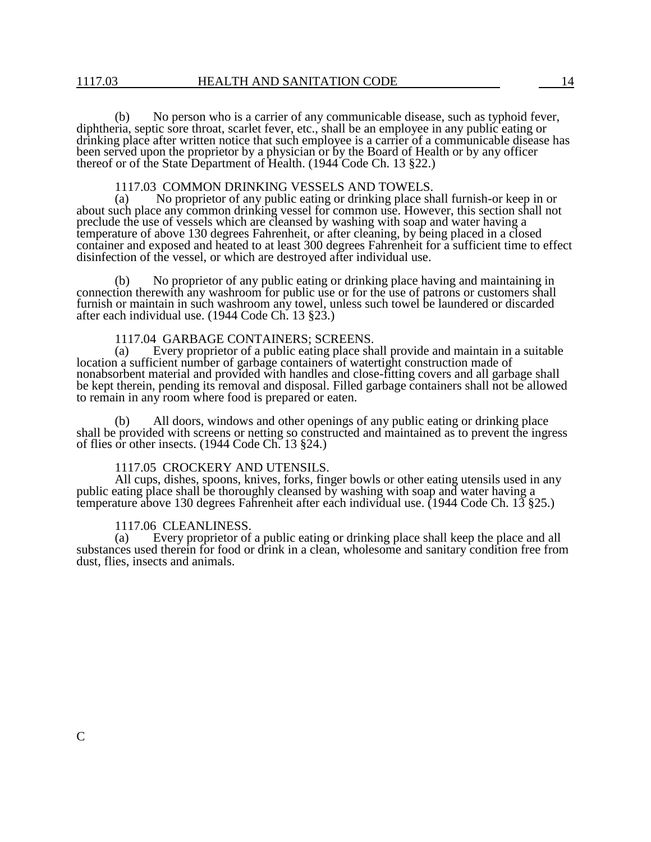(b) No person who is a carrier of any communicable disease, such as typhoid fever, diphtheria, septic sore throat, scarlet fever, etc., shall be an employee in any public eating or drinking place after written notice that such employee is a carrier of a communicable disease has been served upon the proprietor by a physician or by the Board of Health or by any officer thereof or of the State Department of Health. (1944 Code Ch. 13 §22.)

1117.03 COMMON DRINKING VESSELS AND TOWELS.

(a) No proprietor of any public eating or drinking place shall furnish-or keep in or about such place any common drinking vessel for common use. However, this section shall not preclude the use of vessels which are cleansed by washing with soap and water having a temperature of above 130 degrees Fahrenheit, or after cleaning, by being placed in a closed container and exposed and heated to at least 300 degrees Fahrenheit for a sufficient time to effect disinfection of the vessel, or which are destroyed after individual use.

(b) No proprietor of any public eating or drinking place having and maintaining in connection therewith any washroom for public use or for the use of patrons or customers shall furnish or maintain in such washroom any towel, unless such towel be laundered or discarded after each individual use. (1944 Code Ch. 13 §23.)

## 1117.04 GARBAGE CONTAINERS; SCREENS.<br>(a) Every proprietor of a public eating place sha

Every proprietor of a public eating place shall provide and maintain in a suitable location a sufficient number of garbage containers of watertight construction made of nonabsorbent material and provided with handles and close-fitting covers and all garbage shall be kept therein, pending its removal and disposal. Filled garbage containers shall not be allowed to remain in any room where food is prepared or eaten.

(b) All doors, windows and other openings of any public eating or drinking place shall be provided with screens or netting so constructed and maintained as to prevent the ingress of flies or other insects. (1944 Code Ch. 13 §24.)

### 1117.05 CROCKERY AND UTENSILS.

All cups, dishes, spoons, knives, forks, finger bowls or other eating utensils used in any public eating place shall be thoroughly cleansed by washing with soap and water having a temperature above 130 degrees Fahrenheit after each individual use. (1944 Code Ch. 13 §25.)

# 1117.06 CLEANLINESS.<br>(a) Every proprietor of

Every proprietor of a public eating or drinking place shall keep the place and all substances used therein for food or drink in a clean, wholesome and sanitary condition free from dust, flies, insects and animals.